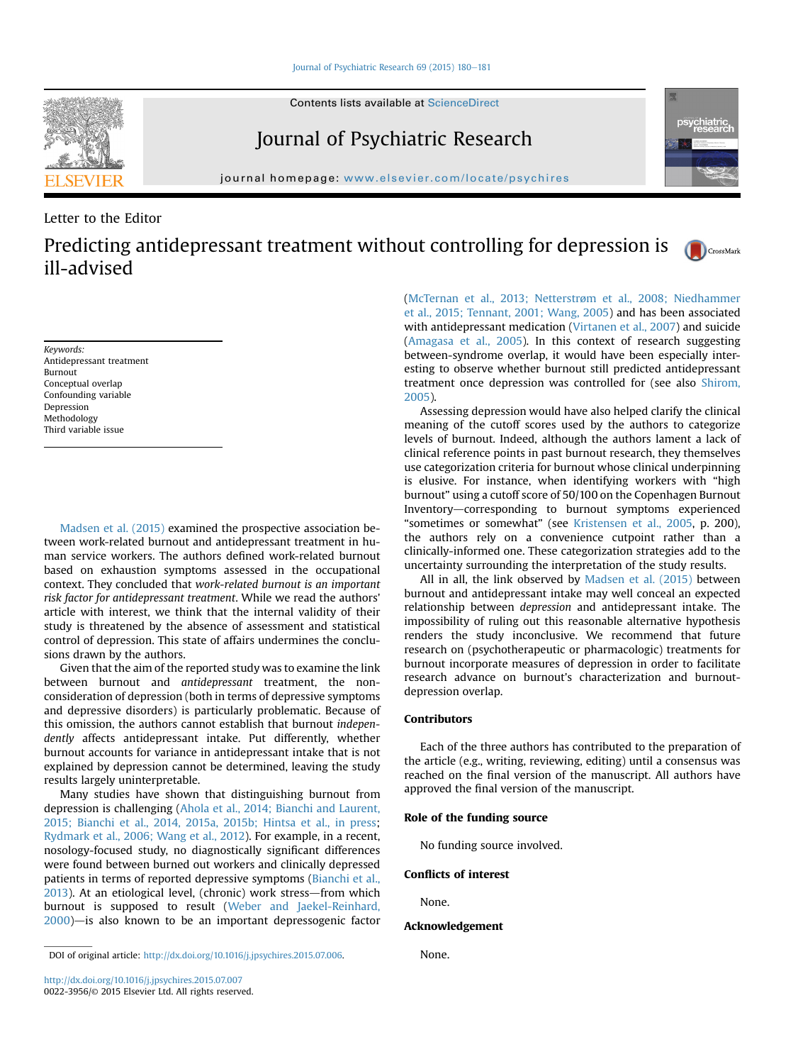Contents lists available at ScienceDirect

# Journal of Psychiatric Research

journal homepage: [www.elsevier.com/locate/psychires](http://www.elsevier.com/locate/psychires)

# Letter to the Editor

Predicting antidepressant treatment without controlling for depression is ill-advised

Keywords: Antidepressant treatment Burnout Conceptual overlap Confounding variable Depression Methodology Third variable issue

[Madsen et al. \(2015\)](#page-1-0) examined the prospective association between work-related burnout and antidepressant treatment in human service workers. The authors defined work-related burnout based on exhaustion symptoms assessed in the occupational context. They concluded that work-related burnout is an important risk factor for antidepressant treatment. While we read the authors' article with interest, we think that the internal validity of their study is threatened by the absence of assessment and statistical control of depression. This state of affairs undermines the conclusions drawn by the authors.

Given that the aim of the reported study was to examine the link between burnout and antidepressant treatment, the nonconsideration of depression (both in terms of depressive symptoms and depressive disorders) is particularly problematic. Because of this omission, the authors cannot establish that burnout independently affects antidepressant intake. Put differently, whether burnout accounts for variance in antidepressant intake that is not explained by depression cannot be determined, leaving the study results largely uninterpretable.

Many studies have shown that distinguishing burnout from depression is challenging ([Ahola et al., 2014; Bianchi and Laurent,](#page-1-0) [2015; Bianchi et al., 2014, 2015a, 2015b; Hintsa et al., in press](#page-1-0); [Rydmark et al., 2006; Wang et al., 2012\)](#page-1-0). For example, in a recent, nosology-focused study, no diagnostically significant differences were found between burned out workers and clinically depressed patients in terms of reported depressive symptoms [\(Bianchi et al.,](#page-1-0)  $2013$ ). At an etiological level, (chronic) work stress—from which burnout is supposed to result [\(Weber and Jaekel-Reinhard,](#page-1-0)  $2000$ ) $-$  is also known to be an important depressogenic factor

DOI of original article: [http://dx.doi.org/10.1016/j.jpsychires.2015.07.006.](http://dx.doi.org/10.1016/j.jpsychires.2015.07.006) None.

<http://dx.doi.org/10.1016/j.jpsychires.2015.07.007> 0022-3956/© 2015 Elsevier Ltd. All rights reserved. ([McTernan et al., 2013; Netterstr](#page-1-0)ø[m et al., 2008; Niedhammer](#page-1-0) [et al., 2015; Tennant, 2001; Wang, 2005\)](#page-1-0) and has been associated with antidepressant medication ([Virtanen et al., 2007\)](#page-1-0) and suicide ([Amagasa et al., 2005\)](#page-1-0). In this context of research suggesting between-syndrome overlap, it would have been especially interesting to observe whether burnout still predicted antidepressant treatment once depression was controlled for (see also [Shirom,](#page-1-0) [2005](#page-1-0)).

Assessing depression would have also helped clarify the clinical meaning of the cutoff scores used by the authors to categorize levels of burnout. Indeed, although the authors lament a lack of clinical reference points in past burnout research, they themselves use categorization criteria for burnout whose clinical underpinning is elusive. For instance, when identifying workers with "high burnout" using a cutoff score of 50/100 on the Copenhagen Burnout Inventory—corresponding to burnout symptoms experienced "sometimes or somewhat" (see [Kristensen et al., 2005,](#page-1-0) p. 200), the authors rely on a convenience cutpoint rather than a clinically-informed one. These categorization strategies add to the uncertainty surrounding the interpretation of the study results.

All in all, the link observed by [Madsen et al. \(2015\)](#page-1-0) between burnout and antidepressant intake may well conceal an expected relationship between depression and antidepressant intake. The impossibility of ruling out this reasonable alternative hypothesis renders the study inconclusive. We recommend that future research on (psychotherapeutic or pharmacologic) treatments for burnout incorporate measures of depression in order to facilitate research advance on burnout's characterization and burnoutdepression overlap.

### Contributors

Each of the three authors has contributed to the preparation of the article (e.g., writing, reviewing, editing) until a consensus was reached on the final version of the manuscript. All authors have approved the final version of the manuscript.

### Role of the funding source

No funding source involved.

## Conflicts of interest

None.

### Acknowledgement